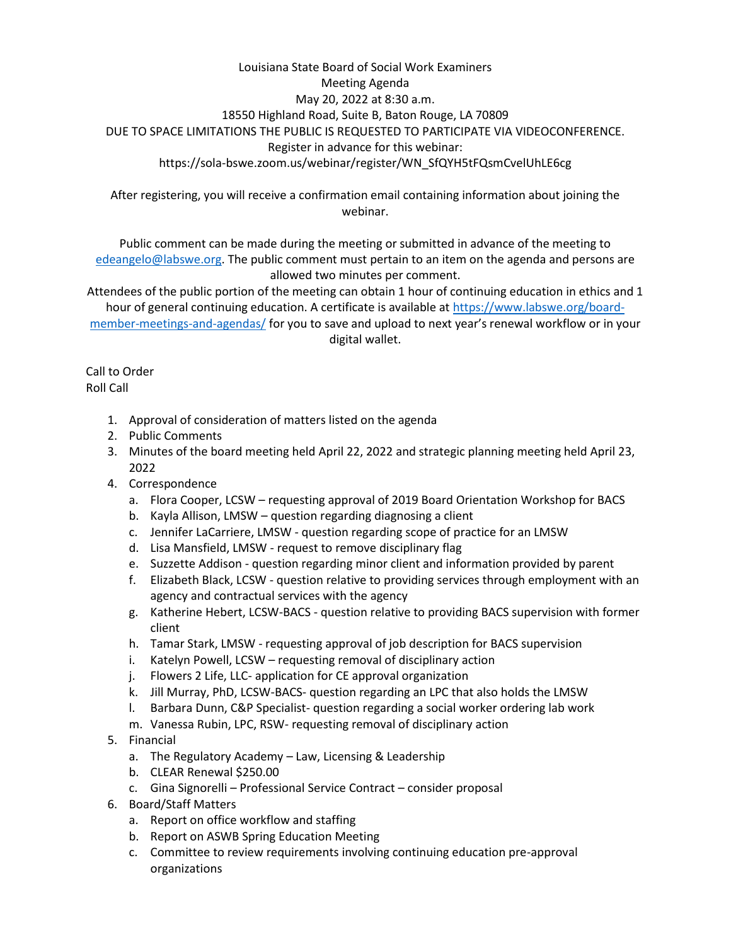## Louisiana State Board of Social Work Examiners Meeting Agenda May 20, 2022 at 8:30 a.m. 18550 Highland Road, Suite B, Baton Rouge, LA 70809 DUE TO SPACE LIMITATIONS THE PUBLIC IS REQUESTED TO PARTICIPATE VIA VIDEOCONFERENCE. Register in advance for this webinar: https://sola-bswe.zoom.us/webinar/register/WN\_SfQYH5tFQsmCvelUhLE6cg

After registering, you will receive a confirmation email containing information about joining the webinar.

Public comment can be made during the meeting or submitted in advance of the meeting to [edeangelo@labswe.org.](mailto:edeangelo@labswe.org) The public comment must pertain to an item on the agenda and persons are allowed two minutes per comment.

Attendees of the public portion of the meeting can obtain 1 hour of continuing education in ethics and 1 hour of general continuing education. A certificate is available at [https://www.labswe.org/board](https://www.labswe.org/board-member-meetings-and-agendas/)[member-meetings-and-agendas/](https://www.labswe.org/board-member-meetings-and-agendas/) for you to save and upload to next year's renewal workflow or in your digital wallet.

Call to Order Roll Call

- 1. Approval of consideration of matters listed on the agenda
- 2. Public Comments
- 3. Minutes of the board meeting held April 22, 2022 and strategic planning meeting held April 23, 2022
- 4. Correspondence
	- a. Flora Cooper, LCSW requesting approval of 2019 Board Orientation Workshop for BACS
	- b. Kayla Allison, LMSW question regarding diagnosing a client
	- c. Jennifer LaCarriere, LMSW question regarding scope of practice for an LMSW
	- d. Lisa Mansfield, LMSW request to remove disciplinary flag
	- e. Suzzette Addison question regarding minor client and information provided by parent
	- f. Elizabeth Black, LCSW question relative to providing services through employment with an agency and contractual services with the agency
	- g. Katherine Hebert, LCSW-BACS question relative to providing BACS supervision with former client
	- h. Tamar Stark, LMSW requesting approval of job description for BACS supervision
	- i. Katelyn Powell, LCSW requesting removal of disciplinary action
	- j. Flowers 2 Life, LLC- application for CE approval organization
	- k. Jill Murray, PhD, LCSW-BACS- question regarding an LPC that also holds the LMSW
	- l. Barbara Dunn, C&P Specialist- question regarding a social worker ordering lab work
	- m. Vanessa Rubin, LPC, RSW- requesting removal of disciplinary action
- 5. Financial
	- a. The Regulatory Academy Law, Licensing & Leadership
	- b. CLEAR Renewal \$250.00
	- c. Gina Signorelli Professional Service Contract consider proposal
- 6. Board/Staff Matters
	- a. Report on office workflow and staffing
	- b. Report on ASWB Spring Education Meeting
	- c. Committee to review requirements involving continuing education pre-approval organizations